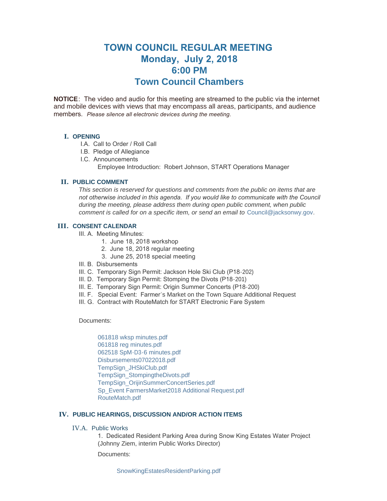# **TOWN COUNCIL REGULAR MEETING Monday, July 2, 2018 6:00 PM Town Council Chambers**

**NOTICE**: The video and audio for this meeting are streamed to the public via the internet and mobile devices with views that may encompass all areas, participants, and audience members. *Please silence all electronic devices during the meeting.* 

## **I. OPENING**

- I.A. Call to Order / Roll Call
- I.B. Pledge of Allegiance
- I.C. Announcements Employee Introduction: Robert Johnson, START Operations Manager

# **PUBLIC COMMENT II.**

*This section is reserved for questions and comments from the public on items that are*  not otherwise included in this agenda. If you would like to communicate with the Council *during the meeting, please address them during open public comment, when public comment is called for on a specific item, or send an email to* [Council@jacksonwy.gov](mailto:)*.*

# **CONSENT CALENDAR III.**

- III. A. Meeting Minutes:
	- 1. June 18, 2018 workshop
	- 2. June 18, 2018 regular meeting
	- 3. June 25, 2018 special meeting
- III. B. Disbursements
- III. C. Temporary Sign Permit: Jackson Hole Ski Club (P18-202)
- III. D. Temporary Sign Permit: Stomping the Divots (P18-201)
- III. E. Temporary Sign Permit: Origin Summer Concerts (P18-200)
- III. F. Special Event: Farmer's Market on the Town Square Additional Request
- III. G. Contract with RouteMatch for START Electronic Fare System

Documents:

[061818 wksp minutes.pdf](https://www.jacksonwy.gov/AgendaCenter/ViewFile/Item/1314?fileID=3784) [061818 reg minutes.pdf](https://www.jacksonwy.gov/AgendaCenter/ViewFile/Item/1314?fileID=3783) [062518 SpM-D3-6 minutes.pdf](https://www.jacksonwy.gov/AgendaCenter/ViewFile/Item/1314?fileID=3781) [Disbursements07022018.pdf](https://www.jacksonwy.gov/AgendaCenter/ViewFile/Item/1314?fileID=3782) [TempSign\\_JHSkiClub.pdf](https://www.jacksonwy.gov/AgendaCenter/ViewFile/Item/1314?fileID=3785) [TempSign\\_StompingtheDivots.pdf](https://www.jacksonwy.gov/AgendaCenter/ViewFile/Item/1314?fileID=3787) [TempSign\\_OrijinSummerConcertSeries.pdf](https://www.jacksonwy.gov/AgendaCenter/ViewFile/Item/1314?fileID=3786) [Sp\\_Event FarmersMarket2018 Additional Request.pdf](https://www.jacksonwy.gov/AgendaCenter/ViewFile/Item/1314?fileID=3788) [RouteMatch.pdf](https://www.jacksonwy.gov/AgendaCenter/ViewFile/Item/1314?fileID=3795)

# **PUBLIC HEARINGS, DISCUSSION AND/OR ACTION ITEMS IV.**

## IV.A. Public Works

1. Dedicated Resident Parking Area during Snow King Estates Water Project (Johnny Ziem, interim Public Works Director)

Documents: